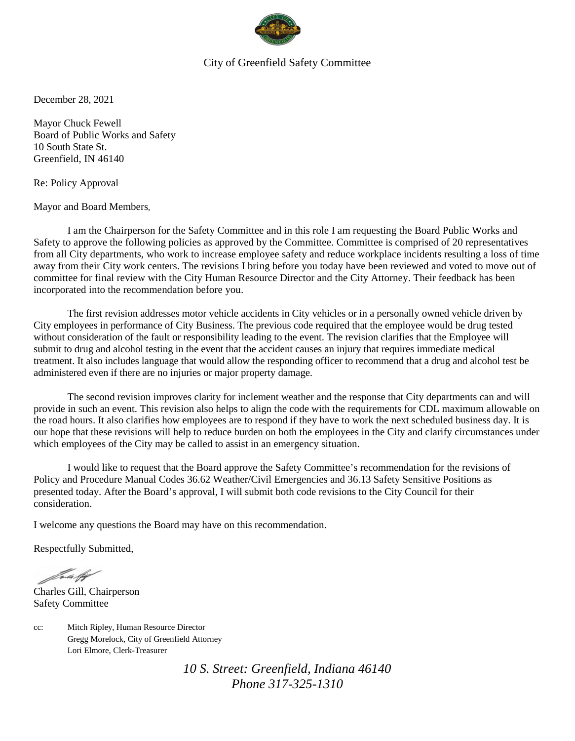

## City of Greenfield Safety Committee

December 28, 2021

Mayor Chuck Fewell Board of Public Works and Safety 10 South State St. Greenfield, IN 46140

Re: Policy Approval

Mayor and Board Members,

I am the Chairperson for the Safety Committee and in this role I am requesting the Board Public Works and Safety to approve the following policies as approved by the Committee. Committee is comprised of 20 representatives from all City departments, who work to increase employee safety and reduce workplace incidents resulting a loss of time away from their City work centers. The revisions I bring before you today have been reviewed and voted to move out of committee for final review with the City Human Resource Director and the City Attorney. Their feedback has been incorporated into the recommendation before you.

The first revision addresses motor vehicle accidents in City vehicles or in a personally owned vehicle driven by City employees in performance of City Business. The previous code required that the employee would be drug tested without consideration of the fault or responsibility leading to the event. The revision clarifies that the Employee will submit to drug and alcohol testing in the event that the accident causes an injury that requires immediate medical treatment. It also includes language that would allow the responding officer to recommend that a drug and alcohol test be administered even if there are no injuries or major property damage.

The second revision improves clarity for inclement weather and the response that City departments can and will provide in such an event. This revision also helps to align the code with the requirements for CDL maximum allowable on the road hours. It also clarifies how employees are to respond if they have to work the next scheduled business day. It is our hope that these revisions will help to reduce burden on both the employees in the City and clarify circumstances under which employees of the City may be called to assist in an emergency situation.

I would like to request that the Board approve the Safety Committee's recommendation for the revisions of Policy and Procedure Manual Codes 36.62 Weather/Civil Emergencies and 36.13 Safety Sensitive Positions as presented today. After the Board's approval, I will submit both code revisions to the City Council for their consideration.

I welcome any questions the Board may have on this recommendation.

Respectfully Submitted,

fortally

Charles Gill, Chairperson Safety Committee

cc: Mitch Ripley, Human Resource Director Gregg Morelock, City of Greenfield Attorney Lori Elmore, Clerk-Treasurer

> *10 S. Street: Greenfield, Indiana 46140 Phone 317-325-1310*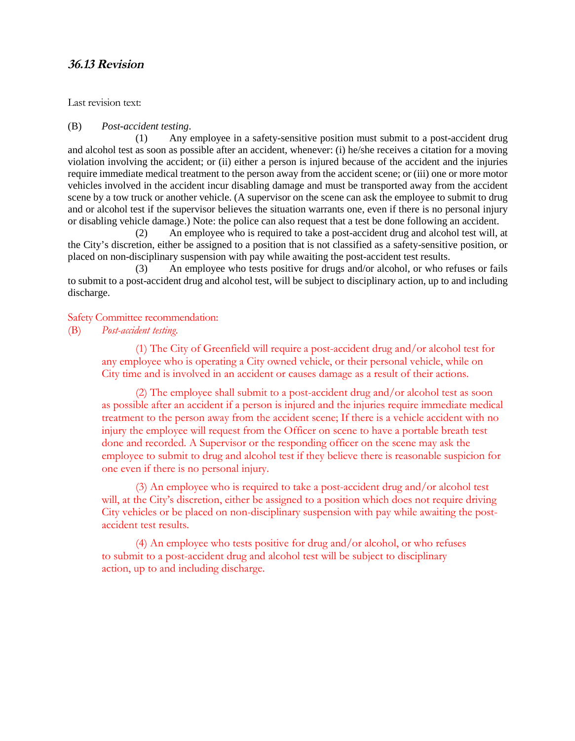# **36.13 Revision**

Last revision text:

#### (B) *Post-accident testing*.

(1) Any employee in a safety-sensitive position must submit to a post-accident drug and alcohol test as soon as possible after an accident, whenever: (i) he/she receives a citation for a moving violation involving the accident; or (ii) either a person is injured because of the accident and the injuries require immediate medical treatment to the person away from the accident scene; or (iii) one or more motor vehicles involved in the accident incur disabling damage and must be transported away from the accident scene by a tow truck or another vehicle. (A supervisor on the scene can ask the employee to submit to drug and or alcohol test if the supervisor believes the situation warrants one, even if there is no personal injury or disabling vehicle damage.) Note: the police can also request that a test be done following an accident.

(2) An employee who is required to take a post-accident drug and alcohol test will, at the City's discretion, either be assigned to a position that is not classified as a safety-sensitive position, or placed on non-disciplinary suspension with pay while awaiting the post-accident test results.

(3) An employee who tests positive for drugs and/or alcohol, or who refuses or fails to submit to a post-accident drug and alcohol test, will be subject to disciplinary action, up to and including discharge.

#### Safety Committee recommendation:

(B) *Post-accident testing*.

(1) The City of Greenfield will require a post-accident drug and/or alcohol test for any employee who is operating a City owned vehicle, or their personal vehicle, while on City time and is involved in an accident or causes damage as a result of their actions.

(2) The employee shall submit to a post-accident drug and/or alcohol test as soon as possible after an accident if a person is injured and the injuries require immediate medical treatment to the person away from the accident scene; If there is a vehicle accident with no injury the employee will request from the Officer on scene to have a portable breath test done and recorded. A Supervisor or the responding officer on the scene may ask the employee to submit to drug and alcohol test if they believe there is reasonable suspicion for one even if there is no personal injury.

(3) An employee who is required to take a post-accident drug and/or alcohol test will, at the City's discretion, either be assigned to a position which does not require driving City vehicles or be placed on non-disciplinary suspension with pay while awaiting the postaccident test results.

(4) An employee who tests positive for drug and/or alcohol, or who refuses to submit to a post-accident drug and alcohol test will be subject to disciplinary action, up to and including discharge.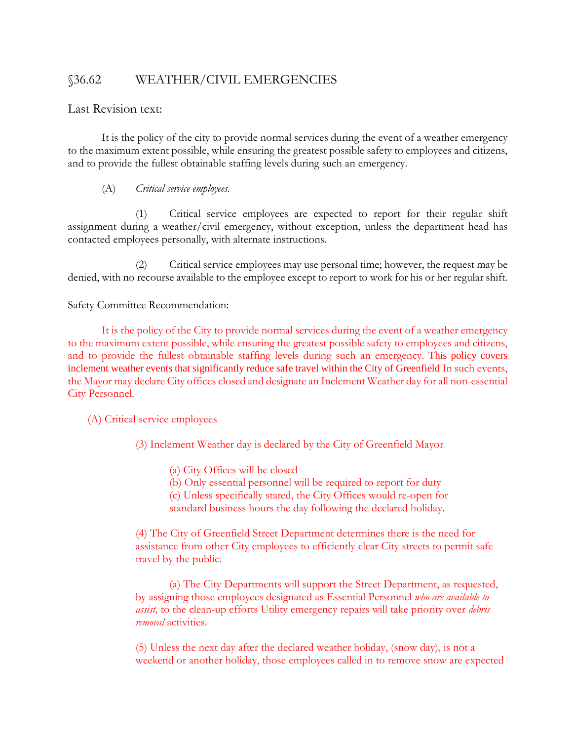# §36.62 WEATHER/CIVIL EMERGENCIES

## Last Revision text:

It is the policy of the city to provide normal services during the event of a weather emergency to the maximum extent possible, while ensuring the greatest possible safety to employees and citizens, and to provide the fullest obtainable staffing levels during such an emergency.

## (A) *Critical service employees.*

Critical service employees are expected to report for their regular shift assignment during a weather/civil emergency, without exception, unless the department head has contacted employees personally, with alternate instructions.

(2) Critical service employees may use personal time; however, the request may be denied, with no recourse available to the employee except to report to work for his or her regular shift.

Safety Committee Recommendation:

It is the policy of the City to provide normal services during the event of a weather emergency to the maximum extent possible, while ensuring the greatest possible safety to employees and citizens, and to provide the fullest obtainable staffing levels during such an emergency. This policy covers inclement weather events that significantly reduce safe travel within the City of Greenfield In such events, the Mayor may declare City offices closed and designate an Inclement Weather day for all non-essential City Personnel.

(A) Critical service employees

(3) Inclement Weather day is declared by the City of Greenfield Mayor

- (a) City Offices will be closed
- (b) Only essential personnel will be required to report for duty
- (c) Unless specifically stated, the City Offices would re-open for
- standard business hours the day following the declared holiday.

(4) The City of Greenfield Street Department determines there is the need for assistance from other City employees to efficiently clear City streets to permit safe travel by the public.

(a) The City Departments will support the Street Department, as requested, by assigning those employees designated as Essential Personnel *who are available to assist,* to the clean-up efforts Utility emergency repairs will take priority over *debris removal* activities.

(5) Unless the next day after the declared weather holiday, (snow day), is not a weekend or another holiday, those employees called in to remove snow are expected